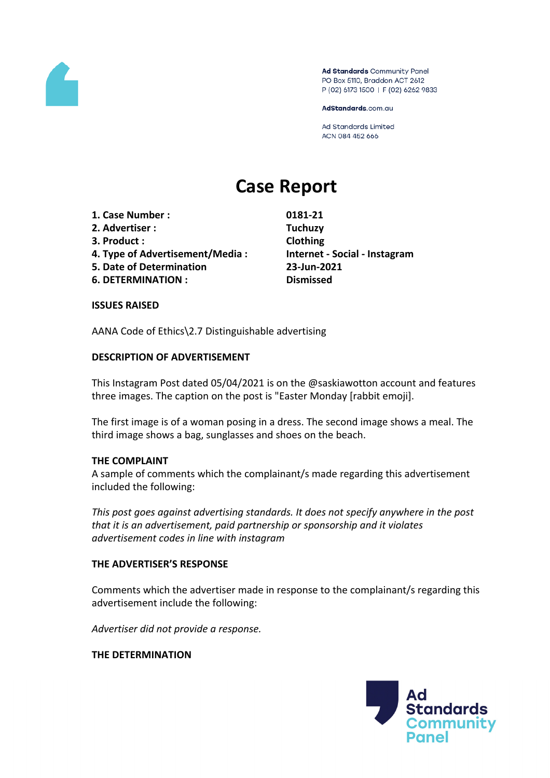

Ad Standards Community Panel PO Box 5110, Braddon ACT 2612 P (02) 6173 1500 | F (02) 6262 9833

AdStandards.com.au

Ad Standards Limited ACN 084 452 666

# **Case Report**

- **1. Case Number : 0181-21**
- **2. Advertiser : Tuchuzy**
- **3. Product : Clothing**
- **4. Type of Advertisement/Media : Internet - Social - Instagram**
- **5. Date of Determination 23-Jun-2021**
- **6. DETERMINATION : Dismissed**

#### **ISSUES RAISED**

AANA Code of Ethics\2.7 Distinguishable advertising

## **DESCRIPTION OF ADVERTISEMENT**

This Instagram Post dated 05/04/2021 is on the @saskiawotton account and features three images. The caption on the post is "Easter Monday [rabbit emoji].

The first image is of a woman posing in a dress. The second image shows a meal. The third image shows a bag, sunglasses and shoes on the beach.

## **THE COMPLAINT**

A sample of comments which the complainant/s made regarding this advertisement included the following:

*This post goes against advertising standards. It does not specify anywhere in the post that it is an advertisement, paid partnership or sponsorship and it violates advertisement codes in line with instagram* 

## **THE ADVERTISER'S RESPONSE**

Comments which the advertiser made in response to the complainant/s regarding this advertisement include the following:

*Advertiser did not provide a response.*

#### **THE DETERMINATION**

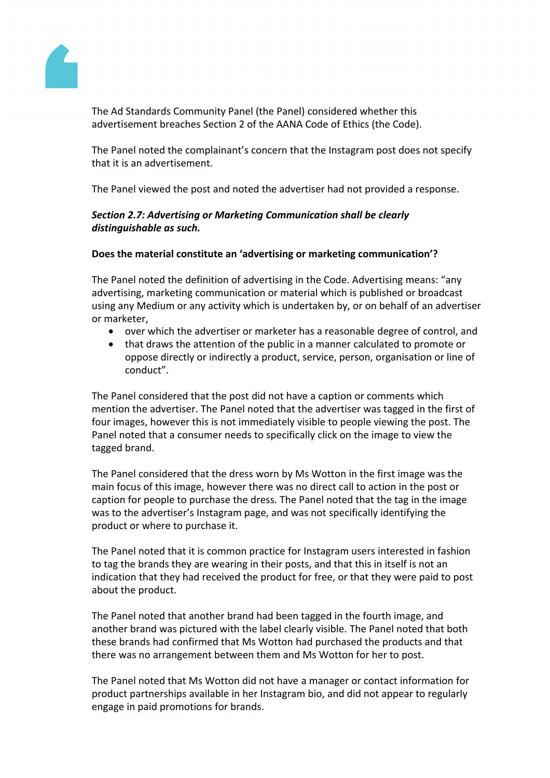

The Ad Standards Community Panel (the Panel) considered whether this advertisement breaches Section 2 of the AANA Code of Ethics (the Code).

The Panel noted the complainant's concern that the Instagram post does not specify that it is an advertisement.

The Panel viewed the post and noted the advertiser had not provided a response.

# *Section 2.7: Advertising or Marketing Communication shall be clearly distinguishable as such.*

# **Does the material constitute an 'advertising or marketing communication'?**

The Panel noted the definition of advertising in the Code. Advertising means: "any advertising, marketing communication or material which is published or broadcast using any Medium or any activity which is undertaken by, or on behalf of an advertiser or marketer,

- over which the advertiser or marketer has a reasonable degree of control, and
- that draws the attention of the public in a manner calculated to promote or oppose directly or indirectly a product, service, person, organisation or line of conduct".

The Panel considered that the post did not have a caption or comments which mention the advertiser. The Panel noted that the advertiser was tagged in the first of four images, however this is not immediately visible to people viewing the post. The Panel noted that a consumer needs to specifically click on the image to view the tagged brand.

The Panel considered that the dress worn by Ms Wotton in the first image was the main focus of this image, however there was no direct call to action in the post or caption for people to purchase the dress. The Panel noted that the tag in the image was to the advertiser's Instagram page, and was not specifically identifying the product or where to purchase it.

The Panel noted that it is common practice for Instagram users interested in fashion to tag the brands they are wearing in their posts, and that this in itself is not an indication that they had received the product for free, or that they were paid to post about the product.

The Panel noted that another brand had been tagged in the fourth image, and another brand was pictured with the label clearly visible. The Panel noted that both these brands had confirmed that Ms Wotton had purchased the products and that there was no arrangement between them and Ms Wotton for her to post.

The Panel noted that Ms Wotton did not have a manager or contact information for product partnerships available in her Instagram bio, and did not appear to regularly engage in paid promotions for brands.